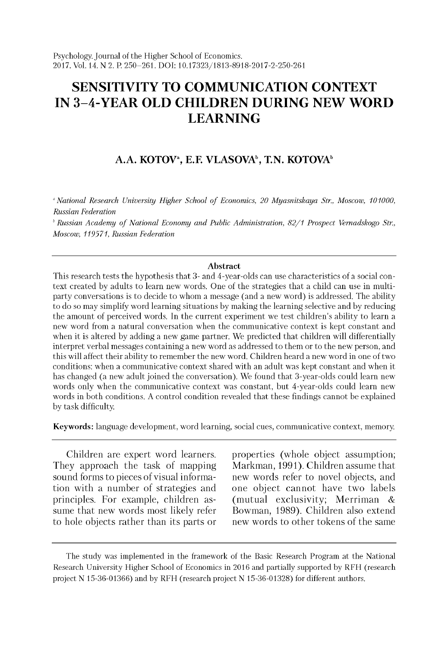# **SENSITIVITY TO COMMUNICATION CONTEXT IN 3-4-YEAR OLD CHILDREN DURING NEW WORD LEARNING**

# A.A. KOTOV<sup>a</sup>, E.F. VLASOVA<sup>b</sup>, T.N. KOTOVA<sup>b</sup>

<sup>a</sup> National Research University Higher School of Economics, 20 Myasnitskaya Str., Moscow, 101000, *Russian Federation*

<sup>b</sup> Russian Academy of National Economy and Public Administration, 82/1 Prospect Vernadskogo Str., *Moscow, 119571, Russian Federation*

#### **Abstract**

This research tests the hypothesis that 3- and 4-year-olds can use characteristics of a social context created by adults to learn new words. One of the strategies that a child can use in multiparty conversations is to decide to whom a message (and a new word) is addressed. The ability to do so may simplify word learning situations by making the learning selective and by reducing the amount of perceived words. In the current experiment we test children's ability to learn a new word from a natural conversation when the communicative context is kept constant and when it is altered by adding a new game partner. We predicted that children will differentially interpret verbal messages containing a new word as addressed to them or to the new person, and this will affect their ability to remember the new word. Children heard a new word in one of two conditions: when a communicative context shared with an adult was kept constant and when it has changed (a new adult joined the conversation). We found that 3-year-olds could learn new words only when the communicative context was constant, but 4-year-olds could learn new words in both conditions. A control condition revealed that these findings cannot be explained by task difficulty.

Keywords: language development, word learning, social cues, communicative context, memory.

Children are expert word learners. They approach the task of mapping sound forms to pieces of visual information with a number of strategies and principles. For example, children assume that new words most likely refer to hole objects rather than its parts or properties (whole object assumption; Markman, 1991). Children assume that new words refer to novel objects, and one object cannot have two labels (mutual exclusivity; Merriman & Bowman, 1989). Children also extend new words to other tokens of the same

The study was implemented in the framework of the Basic Research Program at the National Research University Higher School of Economics in 2016 and partially supported by RFH (research project N 15-36-01366) and by RFH (research project N 15-36-01328) for different authors.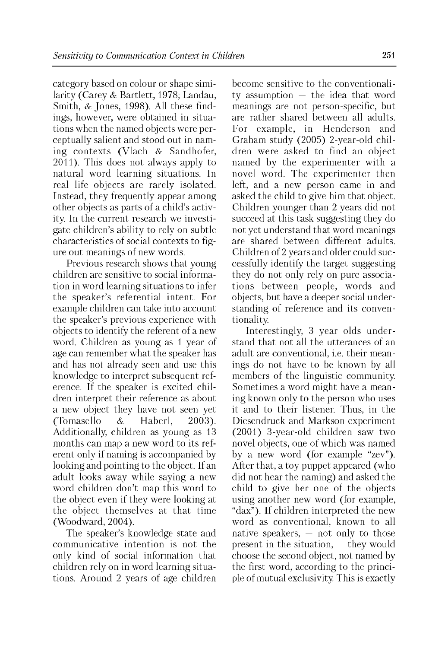category based on colour or shape similarity (Carey & Bartlett, 1978; Landau, Smith, & Jones, 1998). All these findings, however, were obtained in situations when the named objects were perceptually salient and stood out in naming contexts (Vlach & Sandhofer, 2011). This does not always apply to natural word learning situations. In real life objects are rarely isolated. Instead, they frequently appear among other objects as parts of a child's activity. In the current research we investigate children's ability to rely on subtle characteristics of social contexts to figure out meanings of new words.

Previous research shows that young children are sensitive to social information in word learning situations to infer the speaker's referential intent. For example children can take into account the speaker's previous experience with objects to identify the referent of a new word. Children as young as 1 year of age can remember what the speaker has and has not already seen and use this knowledge to interpret subsequent reference. If the speaker is excited children interpret their reference as about a new object they have not seen yet (Tomasello & Haberl, 2003). Additionally, children as young as 13 months can map a new word to its referent only if naming is accompanied by looking and pointing to the object. If an adult looks away while saying a new word children don't map this word to the object even if they were looking at the object themselves at that time (Woodward, 2004).

The speaker's knowledge state and communicative intention is not the only kind of social information that children rely on in word learning situations. Around 2 years of age children become sensitive to the conventionality assumption — the idea that word meanings are not person-specific, but are rather shared between all adults. For example, in Henderson and Graham study (2005) 2-year-old children were asked to find an object named by the experimenter with a novel word. The experimenter then left, and a new person came in and asked the child to give him that object. Children younger than 2 years did not succeed at this task suggesting they do not yet understand that word meanings are shared between different adults. Children of 2 years and older could successfully identify the target suggesting they do not only rely on pure associations between people, words and objects, but have a deeper social understanding of reference and its conventionality.

Interestingly, 3 year olds understand that not all the utterances of an adult are conventional, i.e. their meanings do not have to be known by all members of the linguistic community. Sometimes a word might have a meaning known only to the person who uses it and to their listener. Thus, in the Diesendruck and Markson experiment (2001) 3-year-old children saw two novel objects, one of which was named by a new word (for example "zev"). After that, a toy puppet appeared (who did not hear the naming) and asked the child to give her one of the objects using another new word (for example, "dax"). If children interpreted the new word as conventional, known to all native speakers,  $-$  not only to those present in the situation, — they would choose the second object, not named by the first word, according to the principle of mutual exclusivity. This is exactly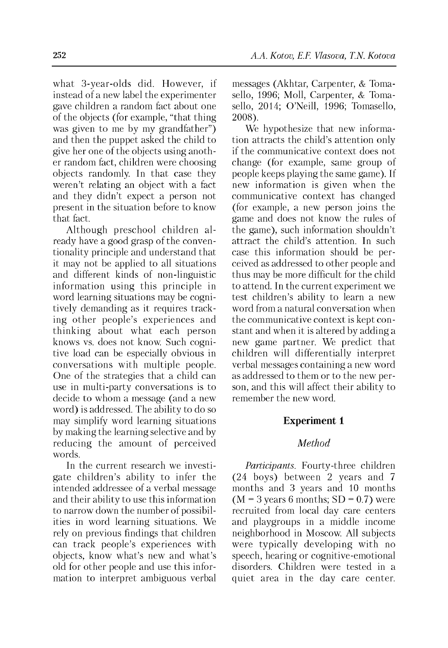what 3-year-olds did. However, if instead of a new label the experimenter gave children a random fact about one of the objects (for example, "that thing was given to me by my grandfather") and then the puppet asked the child to give her one of the objects using another random fact, children were choosing objects randomly. In that case they weren't relating an object with a fact and they didn't expect a person not present in the situation before to know that fact.

Although preschool children already have a good grasp of the conventionality principle and understand that it may not be applied to all situations and different kinds of non-linguistic information using this principle in word learning situations may be cognitively demanding as it requires tracking other people's experiences and thinking about what each person knows vs. does not know. Such cognitive load can be especially obvious in conversations with multiple people. One of the strategies that a child can use in multi-party conversations is to decide to whom a message (and a new word) is addressed. The ability to do so may simplify word learning situations by making the learning selective and by reducing the amount of perceived words.

In the current research we investigate children's ability to infer the intended addressee of a verbal message and their ability to use this information to narrow down the number of possibilities in word learning situations. We rely on previous findings that children can track people's experiences with objects, know what's new and what's old for other people and use this information to interpret ambiguous verbal messages (Akhtar, Carpenter, & Tomasello, 1996; Moll, Carpenter, & Tomasello, 2014; O'Neill, 1996; Tomasello, 2008).

We hypothesize that new information attracts the child's attention only if the communicative context does not change (for example, same group of people keeps playing the same game). If new information is given when the communicative context has changed (for example, a new person joins the game and does not know the rules of the game), such information shouldn't attract the child's attention. In such case this information should be perceived as addressed to other people and thus may be more difficult for the child to attend. In the current experiment we test children's ability to learn a new word from a natural conversation when the communicative context is kept constant and when it is altered by adding a new game partner. We predict that children will differentially interpret verbal messages containing a new word as addressed to them or to the new person, and this will affect their ability to remember the new word.

### **Experiment 1**

## *Method*

*Participants.* Fourty-three children (24 boys) between 2 years and 7 months and 3 years and 10 months  $(M = 3$  years 6 months;  $SD = 0.7$ ) were recruited from local day care centers and playgroups in a middle income neighborhood in Moscow. All subjects were typically developing with no speech, hearing or cognitive-emotional disorders. Children were tested in a quiet area in the day care center.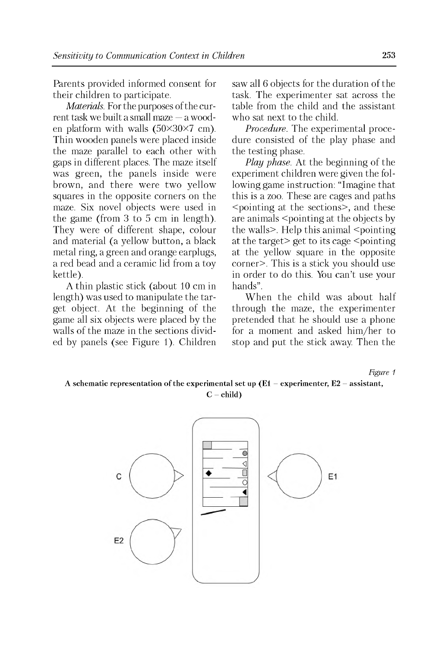Parents provided informed consent for their children to participate.

*Materials.* For the purposes of the current task we built a small maze — a wooden platform with walls  $(50\times30\times7 \text{ cm})$ . Thin wooden panels were placed inside the maze parallel to each other with gaps in different places. The maze itself was green, the panels inside were brown, and there were two yellow squares in the opposite corners on the maze. Six novel objects were used in the game (from 3 to 5 cm in length). They were of different shape, colour and material (a yellow button, a black metal ring, a green and orange earplugs, a red bead and a ceramic lid from a toy kettle).

A thin plastic stick (about 10 cm in length) was used to manipulate the target object. At the beginning of the game all six objects were placed by the walls of the maze in the sections divided by panels (see Figure 1). Children saw all 6 objects for the duration of the task. The experimenter sat across the table from the child and the assistant who sat next to the child.

*Procedure.* The experimental procedure consisted of the play phase and the testing phase.

*Play phase.* At the beginning of the experiment children were given the following game instruction: "Imagine that this is a zoo. These are cages and paths <pointing at the sections>, and these are animals <pointing at the objects by the walls>. Help this animal <pointing at the target> get to its cage <pointing at the yellow square in the opposite corner>. This is a stick you should use in order to do this. You can't use your hands".

When the child was about half through the maze, the experimenter pretended that he should use a phone for a moment and asked him/her to stop and put the stick away. Then the

#### *Figure 1* A schematic representation of the experimental set up  $(E1 -$  experimenter,  $E2 -$  assistant,  $C - child$ )

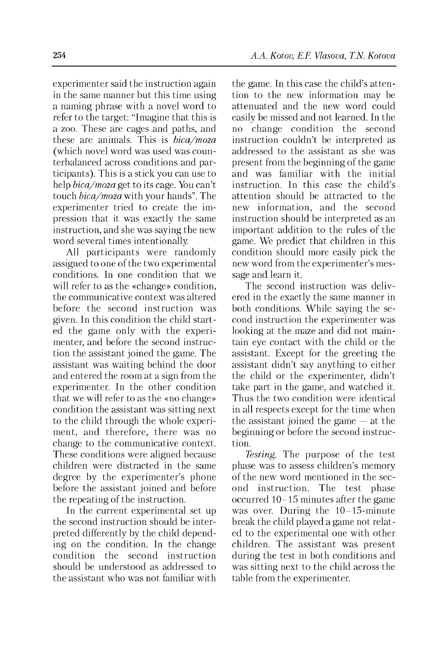experimenter said the instruction again in the same manner but this time using a naming phrase with a novel word to refer to the target: "Imagine that this is a zoo. These are cages and paths, and these are animals. This is *bica/moza* (which novel word was used was counterbalanced across conditions and participants). This is a stick you can use to help *bica/moza* get to its cage. You can't touch *bica/moza* with your hands". The experimenter tried to create the impression that it was exactly the same instruction, and she was saying the new word several times intentionally.

All participants were randomly assigned to one of the two experimental conditions. In one condition that we will refer to as the «change» condition, the communicative context was altered before the second instruction was given. In this condition the child started the game only with the experimenter, and before the second instruction the assistant joined the game. The assistant was waiting behind the door and entered the room at a sign from the experimenter. In the other condition that we will refer to as the «no change» condition the assistant was sitting next to the child through the whole experiment, and therefore, there was no change to the communicative context. These conditions were aligned because children were distracted in the same degree by the experimenter's phone before the assistant joined and before the repeating of the instruction.

In the current experimental set up the second instruction should be interpreted differently by the child depending on the condition. In the change condition the second instruction should be understood as addressed to the assistant who was not familiar with the game. In this case the child's attention to the new information may be attenuated and the new word could easily be missed and not learned. In the no change condition the second instruction couldn't be interpreted as addressed to the assistant as she was present from the beginning of the game and was familiar with the initial instruction. In this case the child's attention should be attracted to the new information, and the second instruction should be interpreted as an important addition to the rules of the game. We predict that children in this condition should more easily pick the new word from the experimenter's message and learn it.

The second instruction was delivered in the exactly the same manner in both conditions. While saying the second instruction the experimenter was looking at the maze and did not maintain eye contact with the child or the assistant. Except for the greeting the assistant didn't say anything to either the child or the experimenter, didn't take part in the game, and watched it. Thus the two condition were identical in all respects except for the time when the assistant joined the game  $-$  at the beginning or before the second instruction.

*Testing.* The purpose of the test phase was to assess children's memory of the new word mentioned in the second instruction. The test phase occurred 10-15 minutes after the game was over. During the 10-15-minute break the child played a game not related to the experimental one with other children. The assistant was present during the test in both conditions and was sitting next to the child across the table from the experimenter.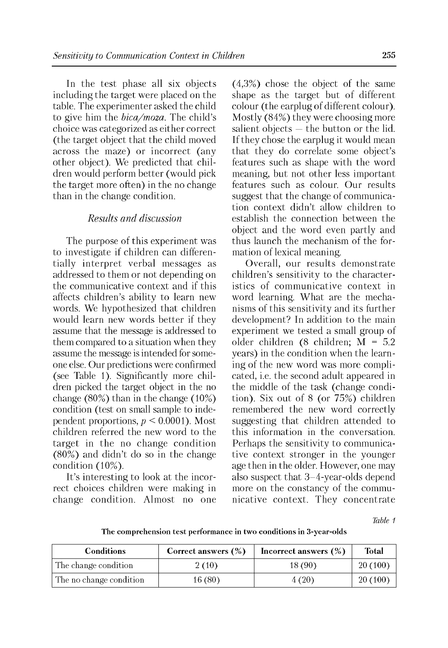In the test phase all six objects including the target were placed on the table. The experimenter asked the child to give him the *bica/moza.* The child's choice was categorized as either correct (the target object that the child moved across the maze) or incorrect (any other object). We predicted that children would perform better (would pick the target more often) in the no change than in the change condition.

### *Results and discussion*

The purpose of this experiment was to investigate if children can differentially interpret verbal messages as addressed to them or not depending on the communicative context and if this affects children's ability to learn new words. We hypothesized that children would learn new words better if they assume that the message is addressed to them compared to a situation when they assume the message is intended for someone else. Our predictions were confirmed (see Table 1). Significantly more children picked the target object in the no change (80%) than in the change (10%) condition (test on small sample to independent proportions, *p* < 0.0001). Most children referred the new word to the target in the no change condition (80%) and didn't do so in the change condition (10%).

It's interesting to look at the incorrect choices children were making in change condition. Almost no one (4,3%) chose the object of the same shape as the target but of different colour (the earplug of different colour). Mostly (84%) they were choosing more salient objects — the button or the lid. If they chose the earplug it would mean that they do correlate some object's features such as shape with the word meaning, but not other less important features such as colour. Our results suggest that the change of communication context didn't allow children to establish the connection between the object and the word even partly and thus launch the mechanism of the formation of lexical meaning.

Overall, our results demonstrate children's sensitivity to the characteristics of communicative context in word learning. What are the mechanisms of this sensitivity and its further development? In addition to the main experiment we tested a small group of older children (8 children; M = 5.2 years) in the condition when the learning of the new word was more complicated, i.e. the second adult appeared in the middle of the task (change condition). Six out of 8 (or 75%) children remembered the new word correctly suggesting that children attended to this information in the conversation. Perhaps the sensitivity to communicative context stronger in the younger age then in the older. However, one may also suspect that 3-4-year-olds depend more on the constancy of the communicative context. They concentrate

*Table 1*

The comprehension test performance in two conditions in 3-year-olds

| <b>Conditions</b>       | Correct answers (%) | Incorrect answers $(\%)$ | <b>Total</b> |
|-------------------------|---------------------|--------------------------|--------------|
| The change condition    | 2(10)               | 18(90)                   | 20(100)      |
| The no change condition | 16 (80)             | 4 (20)                   | 20(100)      |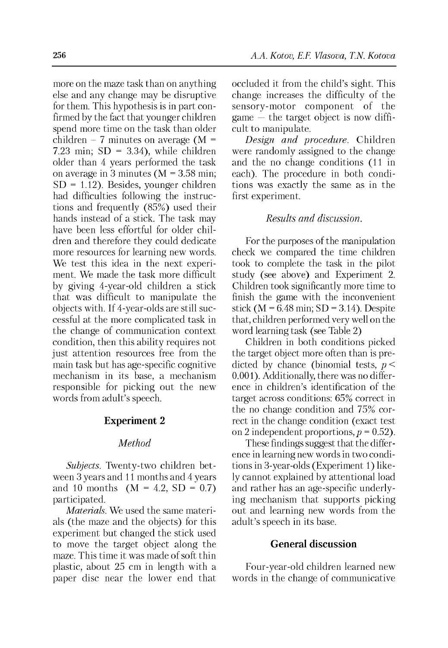more on the maze task than on anything else and any change may be disruptive for them. This hypothesis is in part confirmed by the fact that younger children spend more time on the task than older children – 7 minutes on average ( $M =$ 7.23 min;  $SD = 3.34$ ), while children older than 4 years performed the task on average in 3 minutes ( $M = 3.58$  min;  $SD = 1.12$ ). Besides, younger children had difficulties following the instructions and frequently (85%) used their hands instead of a stick. The task may have been less effortful for older children and therefore they could dedicate more resources for learning new words. We test this idea in the next experiment. We made the task more difficult by giving 4-year-old children a stick that was difficult to manipulate the objects with. If 4-year-olds are still successful at the more complicated task in the change of communication context condition, then this ability requires not just attention resources free from the main task but has age-specific cognitive mechanism in its base, a mechanism responsible for picking out the new words from adult's speech.

#### **Experiment 2**

## *Method*

*Subjects.* Twenty-two children between 3 years and 11 months and 4 years and 10 months  $(M = 4.2, SD = 0.7)$ participated.

*Materials.* We used the same materials (the maze and the objects) for this experiment but changed the stick used to move the target object along the maze. This time it was made of soft thin plastic, about 25 cm in length with a paper disc near the lower end that occluded it from the child's sight. This change increases the difficulty of the sensory-motor component of the game — the target object is now difficult to manipulate.

*Design and procedure.* Children were randomly assigned to the change and the no change conditions (11 in each). The procedure in both conditions was exactly the same as in the first experiment.

### *Results and discussion.*

For the purposes of the manipulation check we compared the time children took to complete the task in the pilot study (see above) and Experiment 2. Children took significantly more time to finish the game with the inconvenient stick ( $M = 6.48$  min; SD = 3.14). Despite that, children performed very well on the word learning task (see Table 2)

Children in both conditions picked the target object more often than is predicted by chance (binomial tests, *p* < 0.001). Additionally, there was no difference in children's identification of the target across conditions: 65% correct in the no change condition and 75% correct in the change condition (exact test on 2 independent proportions,  $p = 0.52$ ).

These findings suggest that the difference in learning new words in two conditions in 3-year-olds (Experiment 1) likely cannot explained by attentional load and rather has an age-specific underlying mechanism that supports picking out and learning new words from the adult's speech in its base.

### **General discussion**

Four-year-old children learned new words in the change of communicative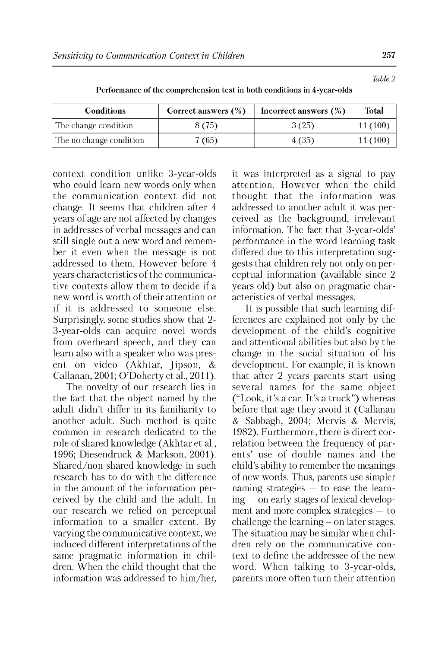| <b>Conditions</b>       | Correct answers $(\%)$ | Incorrect answers $(\%)$ | Total   |
|-------------------------|------------------------|--------------------------|---------|
| The change condition    | 8 (75)                 | 3(25)                    | 11(100) |
| The no change condition | 7(65)                  | 4 (35)                   | 11(100) |

Performance of the comprehension test in both conditions in 4-year-olds

context condition unlike 3-year-olds who could learn new words only when the communication context did not change. It seems that children after 4 years of age are not affected by changes in addresses of verbal messages and can still single out a new word and remember it even when the message is not addressed to them. However before 4 years characteristics of the communicative contexts allow them to decide if a new word is worth of their attention or if it is addressed to someone else. Surprisingly, some studies show that 2 3-year-olds can acquire novel words from overheard speech, and they can learn also with a speaker who was present on video (Akhtar, Jipson, & Callanan, 2001; O'Doherty et al., 2011).

The novelty of our research lies in the fact that the object named by the adult didn't differ in its familiarity to another adult. Such method is quite common in research dedicated to the role of shared knowledge (Akhtar et al., 1996; Diesendruck & Markson, 2001). Shared/non shared knowledge in such research has to do with the difference in the amount of the information perceived by the child and the adult. In our research we relied on perceptual information to a smaller extent. By varying the communicative context, we induced different interpretations of the same pragmatic information in children. When the child thought that the information was addressed to him/her, it was interpreted as a signal to pay attention. However when the child thought that the information was addressed to another adult it was perceived as the background, irrelevant information. The fact that 3-year-olds' performance in the word learning task differed due to this interpretation suggests that children rely not only on perceptual information (available since 2 years old) but also on pragmatic characteristics of verbal messages.

It is possible that such learning differences are explained not only by the development of the child's cognitive and attentional abilities but also by the change in the social situation of his development. For example, it is known that after 2 years parents start using several names for the same object ("Look, it's a car. It's a truck") whereas before that age they avoid it (Callanan & Sabbagh, 2004; Mervis & Mervis, 1982). Furthermore, there is direct correlation between the frequency of parents' use of double names and the child's ability to remember the meanings of new words. Thus, parents use simpler naming strategies — to ease the learning — on early stages of lexical development and more complex strategies — to challenge the learning  $-$  on later stages. The situation may be similar when children rely on the communicative context to define the addressee of the new word. When talking to 3-year-olds, parents more often turn their attention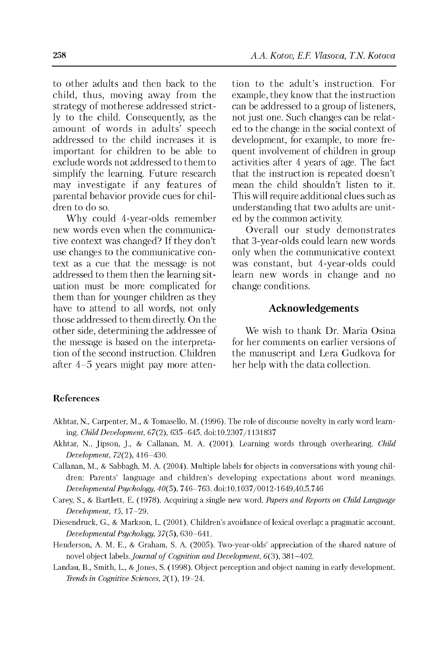to other adults and then back to the child, thus, moving away from the strategy of motherese addressed strictly to the child. Consequently, as the amount of words in adults' speech addressed to the child increases it is important for children to be able to exclude words not addressed to them to simplify the learning. Future research may investigate if any features of parental behavior provide cues for children to do so.

Why could 4-year-olds remember new words even when the communicative context was changed? If they don't use changes to the communicative context as a cue that the message is not addressed to them then the learning situation must be more complicated for them than for younger children as they have to attend to all words, not only those addressed to them directly. On the other side, determining the addressee of the message is based on the interpretation of the second instruction. Children after 4-5 years might pay more attention to the adult's instruction. For example, they know that the instruction can be addressed to a group of listeners, not just one. Such changes can be related to the change in the social context of development, for example, to more frequent involvement of children in group activities after 4 years of age. The fact that the instruction is repeated doesn't mean the child shouldn't listen to it. This will require additional clues such as understanding that two adults are united by the common activity.

Overall our study demonstrates that 3-year-olds could learn new words only when the communicative context was constant, but 4-year-olds could learn new words in change and no change conditions.

### **Acknowledgements**

We wish to thank Dr. Maria Osina for her comments on earlier versions of the manuscript and Lera Gudkova for her help with the data collection.

### **References**

- Akhtar, N., Carpenter, M., & Tomasello, M. (1996). The role of discourse novelty in early word learning. *Child Development,* 67(2), 635-645. doi:10.2307/1131837
- Akhtar, N., Jipson, J., & Callanan, M. A. (2001). Learning words through overhearing. *Child Development,* 72(2), 416-430.
- Callanan, M., & Sabbagh, M. A. (2004). Multiple labels for objects in conversations with young children: Parents' language and children's developing expectations about word meanings. *Developmental Psychology,* 40(5), 746-763. doi:10.1037/0012-1649.40.5.746
- Carey, S., & Bartlett, E. (1978). Acquiring a single new word. *Papers and Reports on Child Language Development, 15,* 17-29.
- Diesendruck, G., & Markson, L. (2001). Children's avoidance of lexical overlap: a pragmatic account. *Developmental Psychology,* 37(5), 630-641.
- Henderson, A. M. E., & Graham, S. A. (2005). Two-year-olds' appreciation of the shared nature of novel object labels. *Journal of Cognition and Development*, 6(3), 381-402.
- Landau, B., Smith, L., & Jones, S. (1998). Object perception and object naming in early development. *Trends in Cognitive Sciences,* 2(1), 19-24.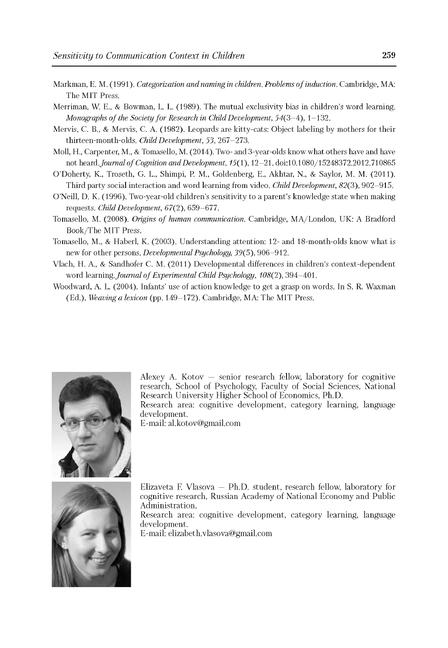- Markman, E. M. (1991). *Categorization and naming in children. Problems of induction*. Cambridge, MA: The MIT Press.
- Merriman, W. E., & Bowman, L. L. (1989). The mutual exclusivity bias in children's word learning. *Monographs of the Society for Research in Child Development,* 54(3-4), 1-132.
- Mervis, C. B., & Mervis, C. A. (1982). Leopards are kitty-cats: Object labeling by mothers for their thirteen-month-olds. *Child Development, 53,* 267-273.
- Moll, H., Carpenter, M., & Tomasello, M. (2014). Two- and 3-year-olds know what others have and have not heard. *Journal of Cognition and Development*,  $15(1)$ ,  $12-21$ . doi:10.1080/15248372.2012.710865
- O'Doherty, K., Troseth, G. L., Shimpi, P. M., Goldenberg, E., Akhtar, N., & Saylor, M. M. (2011). Third party social interaction and word learning from video. *Child Development,* 82(3), 902-915.
- O'Neill, D. K. (1996). Two-year-old children's sensitivity to a parent's knowledge state when making requests. *Child Development,* 67(2), 659-677.
- Tomasello, M. (2008). *Origins of human communication*. Cambridge, MA/London, UK: A Bradford Book/The MIT Press.
- Tomasello, M., & Haberl, K. (2003). Understanding attention: 12- and 18-month-olds know what is new for other persons. *Developmental Psychology,* 39(5), 906-912.
- Vlach, H. A., & Sandhofer C. M. (2011) Developmental differences in children's context-dependent word learning. *Journal of Experimental Child Psychology*, 108(2), 394-401.
- Woodward, A. L. (2004). Infants' use of action knowledge to get a grasp on words. In S. R. Waxman (Ed.), *Weaving a lexicon* (pp. 149-172). Cambridge, MA: The MIT Press.



Alexey A. Kotov — senior research fellow, laboratory for cognitive research, School of Psychology, Faculty of Social Sciences, National Research University Higher School of Economics, Ph.D.

Research area: cognitive development, category learning, language development.

E-mail: [al.kotov@gmail.com](mailto:al.kotov@gmail.com)



Elizaveta F. Vlasova — Ph.D. student, research fellow, laboratory for cognitive research, Russian Academy of National Economy and Public Administration.

Research area: cognitive development, category learning, language development.

E-mail: [elizabeth.vlasova@gmail.com](mailto:elizabeth.vlasova@gmail.com)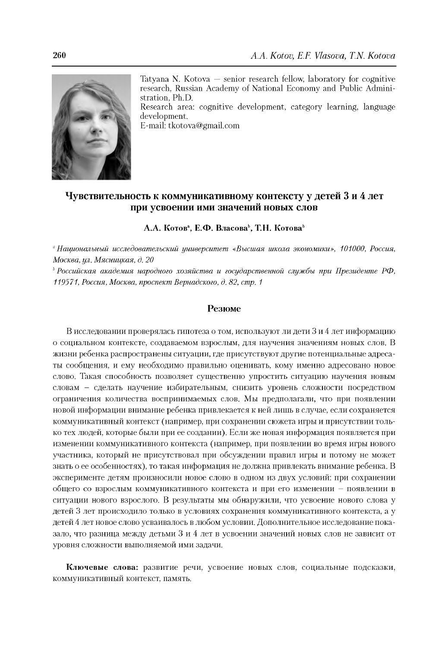

Tatyana N. Kotova — senior research fellow, laboratory for cognitive research, Russian Academy of National Economy and Public Administration, Ph.D. Research area: cognitive development, category learning, language

development.

E-mail: [tkotova@gmail.com](mailto:tkotova@gmail.com)

### **Чувствительность к коммуникативному контексту у детей 3 и 4 лет при усвоении ими значений новых слов**

**А.А. Котов", Е.Ф. Власоваь, Т.Н. Котоваь**

*a Национальный исследовательский университет «Высшая школа экономики», 101000, Россия, Москва, ул. Мясницкая, д. 20*

*ь Российская академия народного хозяйства и государственной службы при Президенте РФ, 119571, Россия, Москва, проспект Вернадского, д. 82, стр. 1*

#### **Резюме**

В исследовании проверялась гипотеза о том, используют ли дети 3 и 4 лет информацию о социальном контексте, создаваемом взрослым, для научения значениям новых слов. В жизни ребенка распространены ситуации, где присутствуют другие потенциальные адресаты сообщения, и ему необходимо правильно оценивать, кому именно адресовано новое слово. Такая способность позволяет существенно упростить ситуацию научения новым словам - сделать научение избирательным, снизить уровень сложности посредством ограничения количества воспринимаемых слов. Мы предполагали, что при появлении новой информации внимание ребенка привлекается к ней лишь в случае, если сохраняется коммуникативный контекст (например, при сохранении сюжета игры и присутствии только тех людей, которые были при ее создании). Если же новая информация появляется при изменении коммуникативного контекста (например, при появлении во время игры нового участника, который не присутствовал при обсуждении правил игры и потому не может знать о ее особенностях), то такая информация не должна привлекать внимание ребенка. В эксперименте детям произносили новое слово в одном из двух условий: при сохранении общего со взрослым коммуникативного контекста и при его изменении - появлении в ситуации нового взрослого. В результаты мы обнаружили, что усвоение нового слова у детей 3 лет происходило только в условиях сохранения коммуникативного контекста, а у детей 4 лет новое слово усваивалось в любом условии. Дополнительное исследование показало, что разница между детьми 3 и 4 лет в усвоении значений новых слов не зависит от уровня сложности выполняемой ими задачи.

**Ключевые слова:** развитие речи, усвоение новых слов, социальные подсказки, коммуникативный контекст, память.